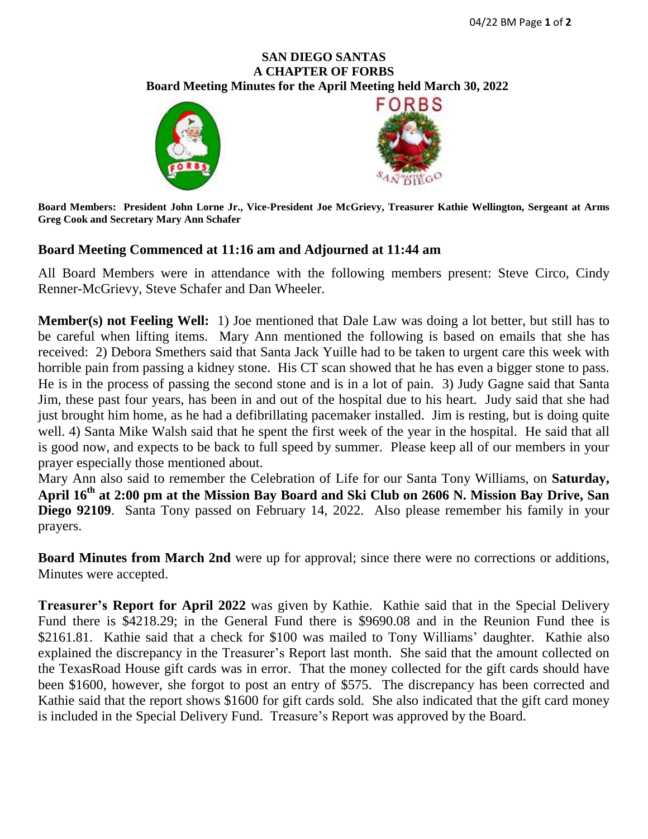## **SAN DIEGO SANTAS A CHAPTER OF FORBS**  **Board Meeting Minutes for the April Meeting held March 30, 2022**





**Board Members: President John Lorne Jr., Vice-President Joe McGrievy, Treasurer Kathie Wellington, Sergeant at Arms Greg Cook and Secretary Mary Ann Schafer**

## **Board Meeting Commenced at 11:16 am and Adjourned at 11:44 am**

All Board Members were in attendance with the following members present: Steve Circo, Cindy Renner-McGrievy, Steve Schafer and Dan Wheeler.

**Member(s) not Feeling Well:** 1) Joe mentioned that Dale Law was doing a lot better, but still has to be careful when lifting items. Mary Ann mentioned the following is based on emails that she has received: 2) Debora Smethers said that Santa Jack Yuille had to be taken to urgent care this week with horrible pain from passing a kidney stone. His CT scan showed that he has even a bigger stone to pass. He is in the process of passing the second stone and is in a lot of pain. 3) Judy Gagne said that Santa Jim, these past four years, has been in and out of the hospital due to his heart. Judy said that she had just brought him home, as he had a defibrillating pacemaker installed. Jim is resting, but is doing quite well. 4) Santa Mike Walsh said that he spent the first week of the year in the hospital. He said that all is good now, and expects to be back to full speed by summer. Please keep all of our members in your prayer especially those mentioned about.

Mary Ann also said to remember the Celebration of Life for our Santa Tony Williams, on **Saturday,** April 16<sup>th</sup> at 2:00 pm at the Mission Bay Board and Ski Club on 2606 N. Mission Bay Drive, San **Diego 92109**. Santa Tony passed on February 14, 2022. Also please remember his family in your prayers.

**Board Minutes from March 2nd** were up for approval; since there were no corrections or additions, Minutes were accepted.

**Treasurer's Report for April 2022** was given by Kathie. Kathie said that in the Special Delivery Fund there is \$4218.29; in the General Fund there is \$9690.08 and in the Reunion Fund thee is \$2161.81. Kathie said that a check for \$100 was mailed to Tony Williams' daughter. Kathie also explained the discrepancy in the Treasurer's Report last month. She said that the amount collected on the TexasRoad House gift cards was in error. That the money collected for the gift cards should have been \$1600, however, she forgot to post an entry of \$575. The discrepancy has been corrected and Kathie said that the report shows \$1600 for gift cards sold. She also indicated that the gift card money is included in the Special Delivery Fund. Treasure's Report was approved by the Board.